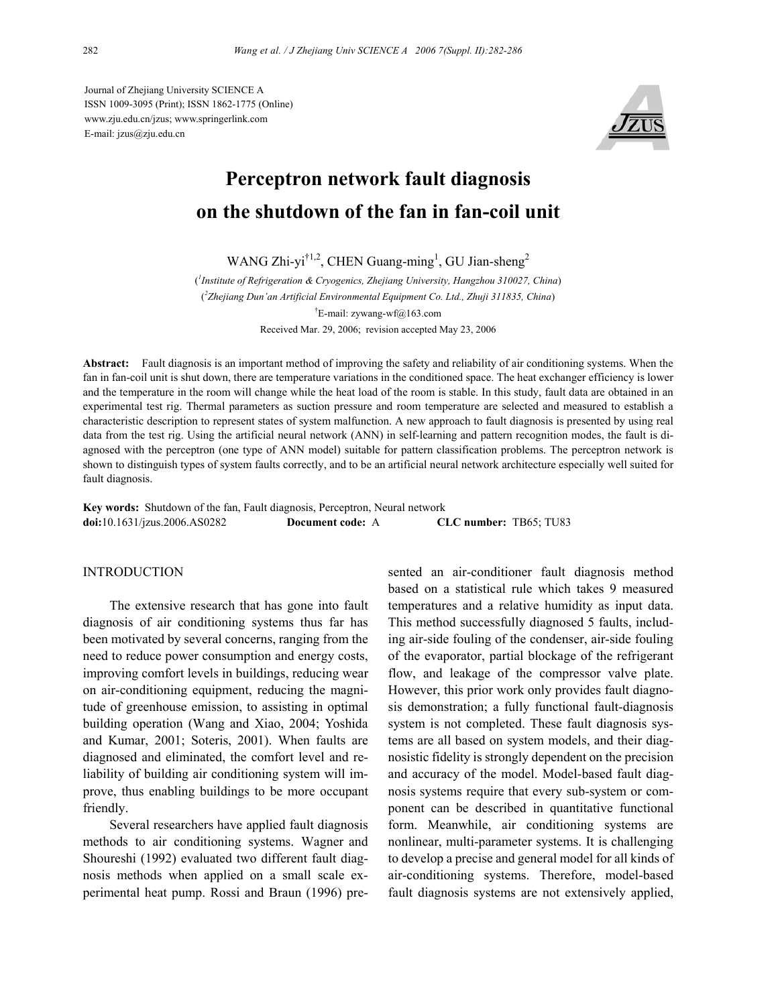Journal of Zhejiang University SCIENCE A ISSN 1009-3095 (Print); ISSN 1862-1775 (Online) www.zju.edu.cn/jzus; www.springerlink.com E-mail: jzus@zju.edu.cn



# **Perceptron network fault diagnosis on the shutdown of the fan in fan-coil unit**

WANG Zhi-yi<sup>†1,2</sup>, CHEN Guang-ming<sup>1</sup>, GU Jian-sheng<sup>2</sup>

( *1 Institute of Refrigeration & Cryogenics, Zhejiang University, Hangzhou 310027, China*) ( *2 Zhejiang Dun'an Artificial Environmental Equipment Co. Ltd., Zhuji 311835, China*) † E-mail: zywang-wf@163.com Received Mar. 29, 2006; revision accepted May 23, 2006

**Abstract:** Fault diagnosis is an important method of improving the safety and reliability of air conditioning systems. When the fan in fan-coil unit is shut down, there are temperature variations in the conditioned space. The heat exchanger efficiency is lower and the temperature in the room will change while the heat load of the room is stable. In this study, fault data are obtained in an experimental test rig. Thermal parameters as suction pressure and room temperature are selected and measured to establish a characteristic description to represent states of system malfunction. A new approach to fault diagnosis is presented by using real data from the test rig. Using the artificial neural network (ANN) in self-learning and pattern recognition modes, the fault is diagnosed with the perceptron (one type of ANN model) suitable for pattern classification problems. The perceptron network is shown to distinguish types of system faults correctly, and to be an artificial neural network architecture especially well suited for fault diagnosis.

**Key words:** Shutdown of the fan, Fault diagnosis, Perceptron, Neural network **doi:**10.1631/jzus.2006.AS0282 **Document code:** A **CLC number:** TB65; TU83

## INTRODUCTION

The extensive research that has gone into fault diagnosis of air conditioning systems thus far has been motivated by several concerns, ranging from the need to reduce power consumption and energy costs, improving comfort levels in buildings, reducing wear on air-conditioning equipment, reducing the magnitude of greenhouse emission, to assisting in optimal building operation (Wang and Xiao, 2004; Yoshida and Kumar, 2001; Soteris, 2001). When faults are diagnosed and eliminated, the comfort level and reliability of building air conditioning system will improve, thus enabling buildings to be more occupant friendly.

Several researchers have applied fault diagnosis methods to air conditioning systems. Wagner and Shoureshi (1992) evaluated two different fault diagnosis methods when applied on a small scale experimental heat pump. Rossi and Braun (1996) presented an air-conditioner fault diagnosis method based on a statistical rule which takes 9 measured temperatures and a relative humidity as input data. This method successfully diagnosed 5 faults, including air-side fouling of the condenser, air-side fouling of the evaporator, partial blockage of the refrigerant flow, and leakage of the compressor valve plate. However, this prior work only provides fault diagnosis demonstration; a fully functional fault-diagnosis system is not completed. These fault diagnosis systems are all based on system models, and their diagnosistic fidelity is strongly dependent on the precision and accuracy of the model. Model-based fault diagnosis systems require that every sub-system or component can be described in quantitative functional form. Meanwhile, air conditioning systems are nonlinear, multi-parameter systems. It is challenging to develop a precise and general model for all kinds of air-conditioning systems. Therefore, model-based fault diagnosis systems are not extensively applied,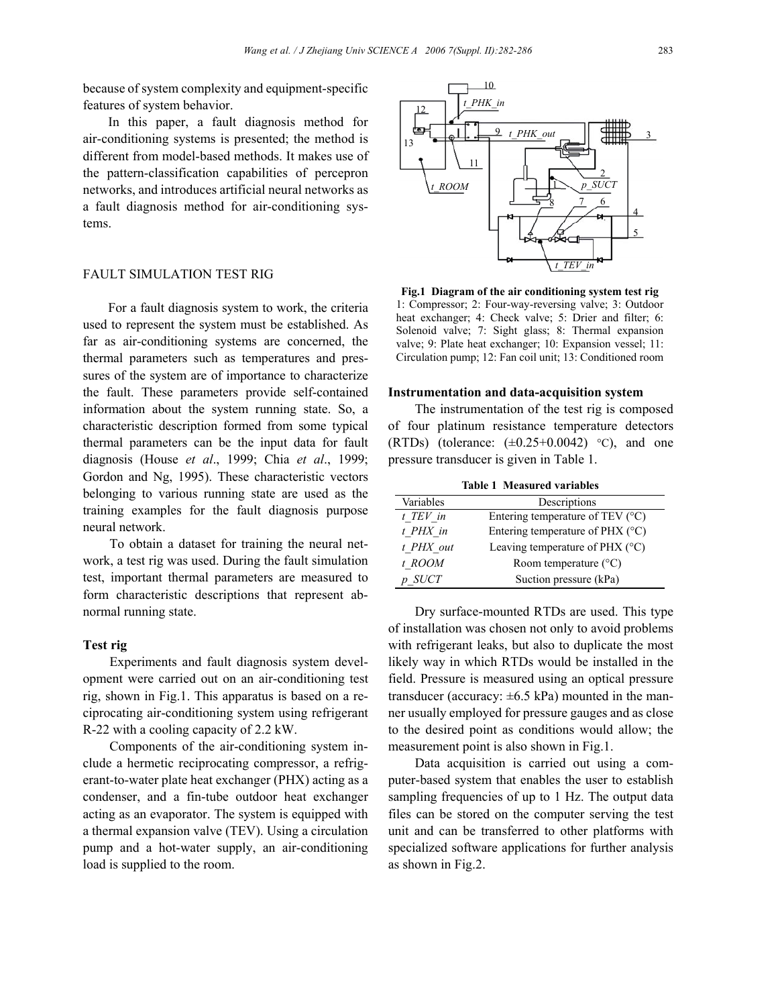because of system complexity and equipment-specific features of system behavior.

In this paper, a fault diagnosis method for air-conditioning systems is presented; the method is different from model-based methods. It makes use of the pattern-classification capabilities of percepron networks, and introduces artificial neural networks as a fault diagnosis method for air-conditioning systems.

## FAULT SIMULATION TEST RIG

For a fault diagnosis system to work, the criteria used to represent the system must be established. As far as air-conditioning systems are concerned, the thermal parameters such as temperatures and pressures of the system are of importance to characterize the fault. These parameters provide self-contained information about the system running state. So, a characteristic description formed from some typical thermal parameters can be the input data for fault diagnosis (House *et al*., 1999; Chia *et al*., 1999; Gordon and Ng, 1995). These characteristic vectors belonging to various running state are used as the training examples for the fault diagnosis purpose neural network.

To obtain a dataset for training the neural network, a test rig was used. During the fault simulation test, important thermal parameters are measured to form characteristic descriptions that represent abnormal running state.

### **Test rig**

Experiments and fault diagnosis system development were carried out on an air-conditioning test rig, shown in Fig.1. This apparatus is based on a reciprocating air-conditioning system using refrigerant R-22 with a cooling capacity of 2.2 kW.

Components of the air-conditioning system include a hermetic reciprocating compressor, a refrigerant-to-water plate heat exchanger (PHX) acting as a condenser, and a fin-tube outdoor heat exchanger acting as an evaporator. The system is equipped with a thermal expansion valve (TEV). Using a circulation pump and a hot-water supply, an air-conditioning load is supplied to the room.



**Fig.1 Diagram of the air conditioning system test rig**  1: Compressor; 2: Four-way-reversing valve; 3: Outdoor heat exchanger; 4: Check valve; 5: Drier and filter; 6: Solenoid valve; 7: Sight glass; 8: Thermal expansion valve; 9: Plate heat exchanger; 10: Expansion vessel; 11: Circulation pump; 12: Fan coil unit; 13: Conditioned room

#### **Instrumentation and data-acquisition system**

The instrumentation of the test rig is composed of four platinum resistance temperature detectors (RTDs) (tolerance:  $(\pm 0.25 + 0.0042)$  °C), and one pressure transducer is given in Table 1.

**Table 1 Measured variables** 

| TADIV I MICASULCU VALIADICS |                                           |  |
|-----------------------------|-------------------------------------------|--|
| Variables                   | Descriptions                              |  |
| t TEV in                    | Entering temperature of TEV $(^{\circ}C)$ |  |
| t PHX in                    | Entering temperature of PHX $(^{\circ}C)$ |  |
| t PHX out                   | Leaving temperature of PHX $(^{\circ}C)$  |  |
| t ROOM                      | Room temperature $(^{\circ}C)$            |  |
| $p$ SUCT                    | Suction pressure (kPa)                    |  |

Dry surface-mounted RTDs are used. This type of installation was chosen not only to avoid problems with refrigerant leaks, but also to duplicate the most likely way in which RTDs would be installed in the field. Pressure is measured using an optical pressure transducer (accuracy:  $\pm 6.5$  kPa) mounted in the manner usually employed for pressure gauges and as close to the desired point as conditions would allow; the measurement point is also shown in Fig.1.

Data acquisition is carried out using a computer-based system that enables the user to establish sampling frequencies of up to 1 Hz. The output data files can be stored on the computer serving the test unit and can be transferred to other platforms with specialized software applications for further analysis as shown in Fig.2.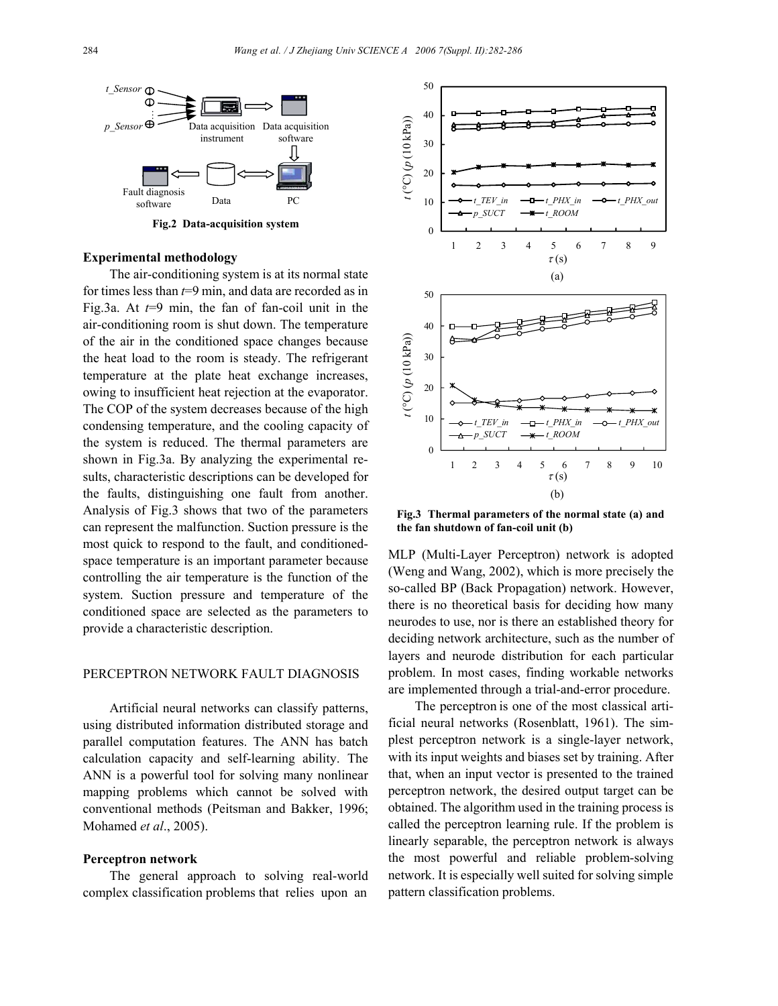

**Fig.2 Data-acquisition system** 0

## **Experimental methodology**

The air-conditioning system is at its normal state for times less than *t*=9 min, and data are recorded as in Fig.3a. At *t*=9 min, the fan of fan-coil unit in the air-conditioning room is shut down. The temperature of the air in the conditioned space changes because the heat load to the room is steady. The refrigerant temperature at the plate heat exchange increases, owing to insufficient heat rejection at the evaporator. The COP of the system decreases because of the high condensing temperature, and the cooling capacity of the system is reduced. The thermal parameters are shown in Fig.3a. By analyzing the experimental results, characteristic descriptions can be developed for the faults, distinguishing one fault from another. Analysis of Fig.3 shows that two of the parameters can represent the malfunction. Suction pressure is the most quick to respond to the fault, and conditionedspace temperature is an important parameter because controlling the air temperature is the function of the system. Suction pressure and temperature of the conditioned space are selected as the parameters to provide a characteristic description.

### PERCEPTRON NETWORK FAULT DIAGNOSIS

Artificial neural networks can classify patterns, using distributed information distributed storage and parallel computation features. The ANN has batch calculation capacity and self-learning ability. The ANN is a powerful tool for solving many nonlinear mapping problems which cannot be solved with conventional methods (Peitsman and Bakker, 1996; Mohamed *et al*., 2005).

## **Perceptron network**

The general approach to solving real-world complex classification problems that relies upon an



**Fig.3 Thermal parameters of the normal state (a) and the fan shutdown of fan-coil unit (b)**

MLP (Multi-Layer Perceptron) network is adopted (Weng and Wang, 2002), which is more precisely the so-called BP (Back Propagation) network. However, there is no theoretical basis for deciding how many neurodes to use, nor is there an established theory for deciding network architecture, such as the number of layers and neurode distribution for each particular problem. In most cases, finding workable networks are implemented through a trial-and-error procedure.

The perceptron is one of the most classical artificial neural networks (Rosenblatt, 1961). The simplest perceptron network is a single-layer network, with its input weights and biases set by training. After that, when an input vector is presented to the trained perceptron network, the desired output target can be obtained. The algorithm used in the training process is called the perceptron learning rule. If the problem is linearly separable, the perceptron network is always the most powerful and reliable problem-solving network. It is especially well suited for solving simple pattern classification problems.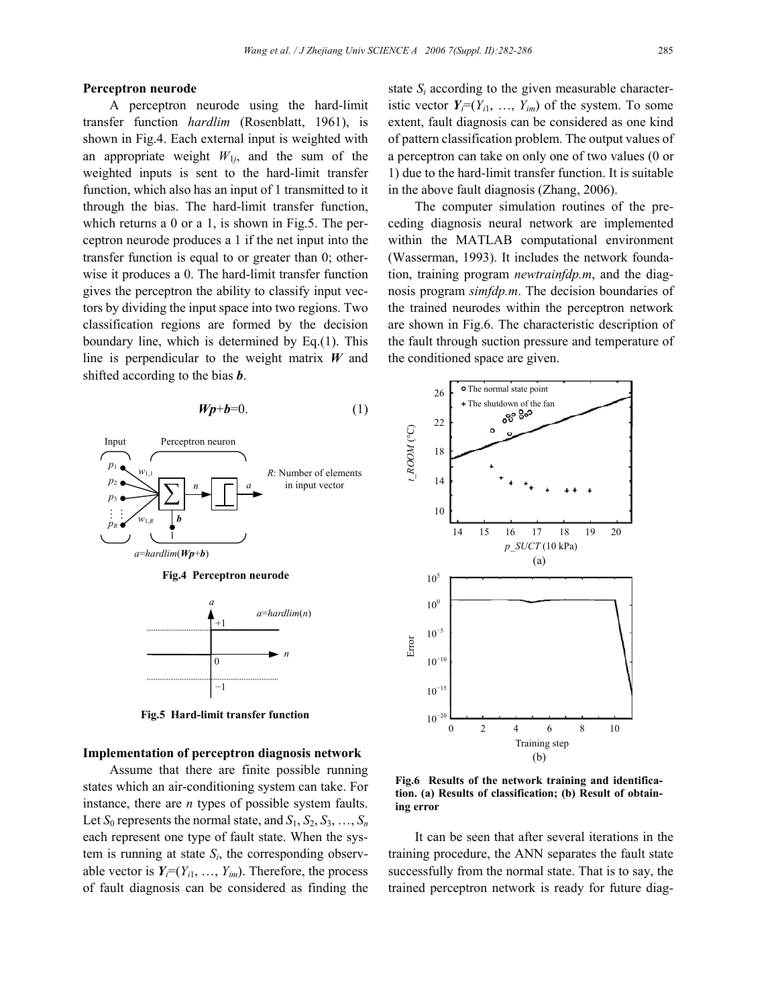#### **Perceptron neurode**

A perceptron neurode using the hard-limit transfer function *hardlim* (Rosenblatt, 1961), is shown in Fig.4. Each external input is weighted with an appropriate weight  $W_{1i}$ , and the sum of the weighted inputs is sent to the hard-limit transfer function, which also has an input of 1 transmitted to it through the bias. The hard-limit transfer function, which returns a 0 or a 1, is shown in Fig.5. The perceptron neurode produces a 1 if the net input into the transfer function is equal to or greater than 0; otherwise it produces a 0. The hard-limit transfer function gives the perceptron the ability to classify input vectors by dividing the input space into two regions. Two classification regions are formed by the decision boundary line, which is determined by Eq.(1). This line is perpendicular to the weight matrix *W* and shifted according to the bias *b*.

$$
Wp+b=0.\t\t(1)
$$



**Fig.5 Hard-limit transfer function**

### **Implementation of perceptron diagnosis network**

Assume that there are finite possible running states which an air-conditioning system can take. For instance, there are *n* types of possible system faults. Let  $S_0$  represents the normal state, and  $S_1, S_2, S_3, \ldots, S_n$ each represent one type of fault state. When the system is running at state  $S_i$ , the corresponding observable vector is  $Y_i = (Y_{i1}, \ldots, Y_{im})$ . Therefore, the process of fault diagnosis can be considered as finding the

state  $S_i$  according to the given measurable characteristic vector  $Y_i = (Y_{i1}, \ldots, Y_{im})$  of the system. To some extent, fault diagnosis can be considered as one kind of pattern classification problem. The output values of a perceptron can take on only one of two values (0 or 1) due to the hard-limit transfer function. It is suitable in the above fault diagnosis (Zhang, 2006).

The computer simulation routines of the preceding diagnosis neural network are implemented within the MATLAB computational environment (Wasserman, 1993). It includes the network foundation, training program *newtrainfdp.m*, and the diagnosis program *simfdp.m*. The decision boundaries of the trained neurodes within the perceptron network are shown in Fig.6. The characteristic description of the fault through suction pressure and temperature of the conditioned space are given.



**Fig.6 Results of the network training and identification. (a) Results of classification; (b) Result of obtaining error**

It can be seen that after several iterations in the training procedure, the ANN separates the fault state successfully from the normal state. That is to say, the trained perceptron network is ready for future diag